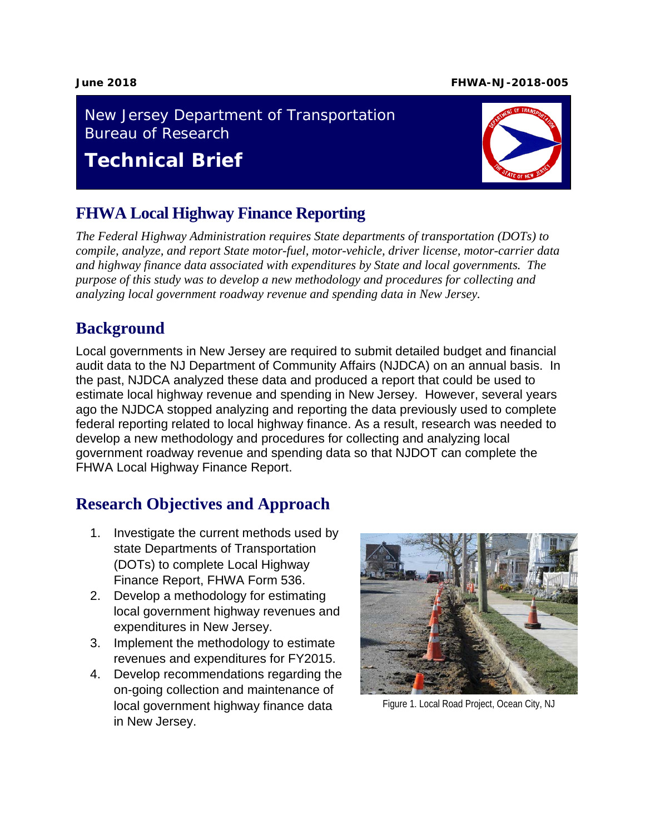#### **June 2018 FHWA-NJ-2018-005**

#### New Jersey Department of Transportation Bureau of Research

# **Technical Brief**

### **FHWA Local Highway Finance Reporting**

*The Federal Highway Administration requires State departments of transportation (DOTs) to compile, analyze, and report State motor-fuel, motor-vehicle, driver license, motor-carrier data and highway finance data associated with expenditures by State and local governments. The purpose of this study was to develop a new methodology and procedures for collecting and analyzing local government roadway revenue and spending data in New Jersey.*

### **Background**

Local governments in New Jersey are required to submit detailed budget and financial audit data to the NJ Department of Community Affairs (NJDCA) on an annual basis. In the past, NJDCA analyzed these data and produced a report that could be used to estimate local highway revenue and spending in New Jersey. However, several years ago the NJDCA stopped analyzing and reporting the data previously used to complete federal reporting related to local highway finance. As a result, research was needed to develop a new methodology and procedures for collecting and analyzing local government roadway revenue and spending data so that NJDOT can complete the FHWA Local Highway Finance Report.

## **Research Objectives and Approach**

- 1. Investigate the current methods used by state Departments of Transportation (DOTs) to complete Local Highway Finance Report, FHWA Form 536.
- 2. Develop a methodology for estimating local government highway revenues and expenditures in New Jersey.
- 3. Implement the methodology to estimate revenues and expenditures for FY2015.
- 4. Develop recommendations regarding the on-going collection and maintenance of local government highway finance data in New Jersey.



Figure 1. Local Road Project, Ocean City, NJ